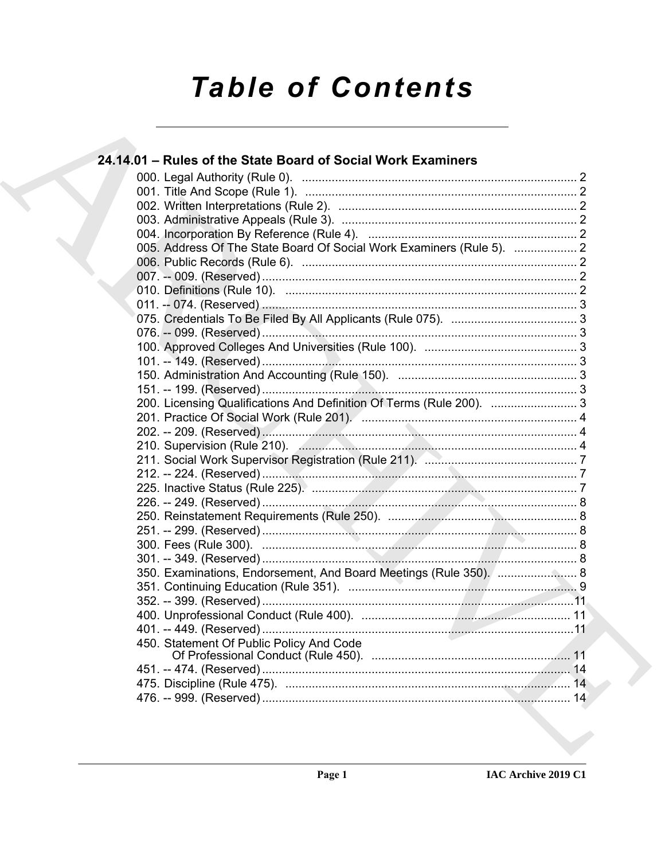# **Table of Contents**

| 24.14.01 - Rules of the State Board of Social Work Examiners          |  |
|-----------------------------------------------------------------------|--|
|                                                                       |  |
|                                                                       |  |
|                                                                       |  |
|                                                                       |  |
|                                                                       |  |
| 005. Address Of The State Board Of Social Work Examiners (Rule 5).  2 |  |
|                                                                       |  |
|                                                                       |  |
|                                                                       |  |
|                                                                       |  |
|                                                                       |  |
|                                                                       |  |
|                                                                       |  |
|                                                                       |  |
|                                                                       |  |
|                                                                       |  |
| 200. Licensing Qualifications And Definition Of Terms (Rule 200).  3  |  |
|                                                                       |  |
|                                                                       |  |
|                                                                       |  |
|                                                                       |  |
|                                                                       |  |
|                                                                       |  |
|                                                                       |  |
|                                                                       |  |
|                                                                       |  |
|                                                                       |  |
|                                                                       |  |
| 350. Examinations, Endorsement, And Board Meetings (Rule 350). [ 8    |  |
|                                                                       |  |
|                                                                       |  |
|                                                                       |  |
|                                                                       |  |
| 450. Statement Of Public Policy And Code                              |  |
|                                                                       |  |
|                                                                       |  |
|                                                                       |  |
|                                                                       |  |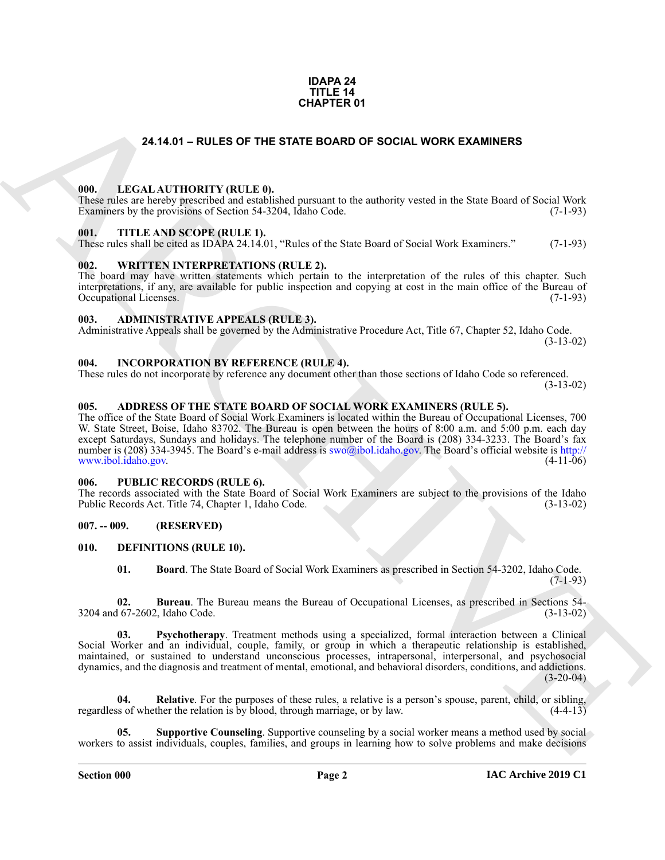#### **IDAPA 24 TITLE 14 CHAPTER 01**

### **24.14.01 – RULES OF THE STATE BOARD OF SOCIAL WORK EXAMINERS**

#### <span id="page-1-19"></span><span id="page-1-1"></span><span id="page-1-0"></span>**000. LEGAL AUTHORITY (RULE 0).**

These rules are hereby prescribed and established pursuant to the authority vested in the State Board of Social Work Examiners by the provisions of Section 54-3204, Idaho Code. (7-1-93)

#### <span id="page-1-21"></span><span id="page-1-2"></span>**001. TITLE AND SCOPE (RULE 1).**

These rules shall be cited as IDAPA 24.14.01, "Rules of the State Board of Social Work Examiners." (7-1-93)

### <span id="page-1-22"></span><span id="page-1-3"></span>**002. WRITTEN INTERPRETATIONS (RULE 2).**

The board may have written statements which pertain to the interpretation of the rules of this chapter. Such interpretations, if any, are available for public inspection and copying at cost in the main office of the Bureau of Occupational Licenses. (7-1-93) Occupational Licenses.

### <span id="page-1-11"></span><span id="page-1-4"></span>**003. ADMINISTRATIVE APPEALS (RULE 3).**

Administrative Appeals shall be governed by the Administrative Procedure Act, Title 67, Chapter 52, Idaho Code. (3-13-02)

### <span id="page-1-18"></span><span id="page-1-5"></span>**004. INCORPORATION BY REFERENCE (RULE 4).**

These rules do not incorporate by reference any document other than those sections of Idaho Code so referenced. (3-13-02)

### <span id="page-1-10"></span><span id="page-1-6"></span>**005. ADDRESS OF THE STATE BOARD OF SOCIAL WORK EXAMINERS (RULE 5).**

**24.14.01 – RULES OF THE STATE BOARD OF SOCIAL WORK EXAMINERS<br>
THE LEGAL ALTHORITY (RULE B)**<br>
THE LEGAL ALTHORITY (RULE B)<br>
THE AND SCOPE (RULE B)<br>
THE AND SCOPE (RULE B)<br>
THE AND SCOPE (RULE B)<br>
THE AND SCOPE (RULE B)<br>
T The office of the State Board of Social Work Examiners is located within the Bureau of Occupational Licenses, 700 W. State Street, Boise, Idaho 83702. The Bureau is open between the hours of 8:00 a.m. and 5:00 p.m. each day except Saturdays, Sundays and holidays. The telephone number of the Board is (208) 334-3233. The Board's fax number is (208) 334-3945. The Board's e-mail address is swo@ibol.idaho.gov. The Board's official website is http:// www.ibol.idaho.gov. (4-11-06)

### <span id="page-1-20"></span><span id="page-1-7"></span>**006. PUBLIC RECORDS (RULE 6).**

The records associated with the State Board of Social Work Examiners are subject to the provisions of the Idaho Public Records Act. Title 74, Chapter 1, Idaho Code. (3-13-02)

### <span id="page-1-8"></span>**007. -- 009. (RESERVED)**

### <span id="page-1-9"></span>**010. DEFINITIONS (RULE 10).**

<span id="page-1-15"></span><span id="page-1-14"></span><span id="page-1-13"></span><span id="page-1-12"></span>**01. Board**. The State Board of Social Work Examiners as prescribed in Section 54-3202, Idaho Code.  $(7-1-93)$ 

**02. Bureau**. The Bureau means the Bureau of Occupational Licenses, as prescribed in Sections 54- 3204 and 67-2602, Idaho Code. (3-13-02)

**03. Psychotherapy**. Treatment methods using a specialized, formal interaction between a Clinical Social Worker and an individual, couple, family, or group in which a therapeutic relationship is established, maintained, or sustained to understand unconscious processes, intrapersonal, interpersonal, and psychosocial dynamics, and the diagnosis and treatment of mental, emotional, and behavioral disorders, conditions, and addictions.  $(3-20-04)$ 

<span id="page-1-16"></span>**04.** Relative. For the purposes of these rules, a relative is a person's spouse, parent, child, or sibling, so of whether the relation is by blood, through marriage, or by law. (4-4-13) regardless of whether the relation is by blood, through marriage, or by law.

<span id="page-1-17"></span>**05. Supportive Counseling**. Supportive counseling by a social worker means a method used by social workers to assist individuals, couples, families, and groups in learning how to solve problems and make decisions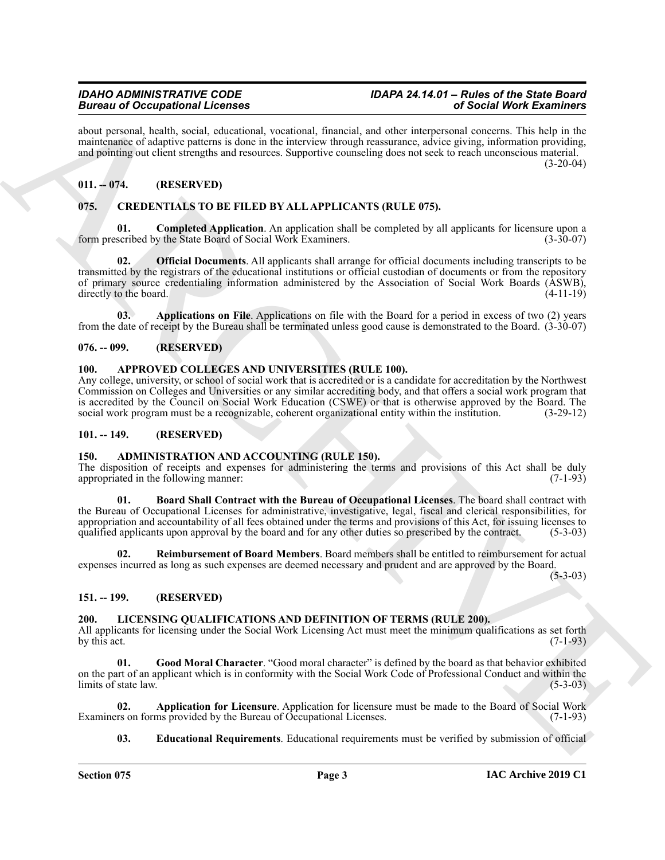about personal, health, social, educational, vocational, financial, and other interpersonal concerns. This help in the maintenance of adaptive patterns is done in the interview through reassurance, advice giving, information providing, and pointing out client strengths and resources. Supportive counseling does not seek to reach unconscious material.  $(3-20-04)$ 

### <span id="page-2-0"></span>**011. -- 074. (RESERVED)**

### <span id="page-2-12"></span><span id="page-2-1"></span>**075. CREDENTIALS TO BE FILED BY ALL APPLICANTS (RULE 075).**

<span id="page-2-15"></span><span id="page-2-14"></span>**Completed Application**. An application shall be completed by all applicants for licensure upon a y the State Board of Social Work Examiners. (3-30-07) form prescribed by the State Board of Social Work Examiners.

Brown of Comparison's Licensine<br>
And revenue leads, were also shown that the system of the system of the system of the system of the system of<br>  $\sigma$  and revenue in the system of the system of the system of the system of t **02. Official Documents**. All applicants shall arrange for official documents including transcripts to be transmitted by the registrars of the educational institutions or official custodian of documents or from the repository of primary source credentialing information administered by the Association of Social Work Boards (ASWB), directly to the board. (4-11-19)

<span id="page-2-13"></span>**03. Applications on File**. Applications on file with the Board for a period in excess of two (2) years from the date of receipt by the Bureau shall be terminated unless good cause is demonstrated to the Board. (3-30-07)

### <span id="page-2-2"></span>**076. -- 099. (RESERVED)**

### <span id="page-2-11"></span><span id="page-2-3"></span>**100. APPROVED COLLEGES AND UNIVERSITIES (RULE 100).**

Any college, university, or school of social work that is accredited or is a candidate for accreditation by the Northwest Commission on Colleges and Universities or any similar accrediting body, and that offers a social work program that is accredited by the Council on Social Work Education (CSWE) or that is otherwise approved by the Board. The social work program must be a recognizable, coherent organizational entity within the institution. (3-29-12)

### <span id="page-2-4"></span>**101. -- 149. (RESERVED)**

### <span id="page-2-8"></span><span id="page-2-5"></span>**150. ADMINISTRATION AND ACCOUNTING (RULE 150).**

The disposition of receipts and expenses for administering the terms and provisions of this Act shall be duly appropriated in the following manner: (7-1-93)

<span id="page-2-9"></span>**01. Board Shall Contract with the Bureau of Occupational Licenses**. The board shall contract with the Bureau of Occupational Licenses for administrative, investigative, legal, fiscal and clerical responsibilities, for appropriation and accountability of all fees obtained under the terms and provisions of this Act, for issuing licenses to qualified applicants upon approval by the board and for any other duties so prescribed by the contract. (5-3-03)

<span id="page-2-10"></span>**02. Reimbursement of Board Members**. Board members shall be entitled to reimbursement for actual expenses incurred as long as such expenses are deemed necessary and prudent and are approved by the Board.

 $(5-3-03)$ 

### <span id="page-2-6"></span>**151. -- 199. (RESERVED)**

### <span id="page-2-16"></span><span id="page-2-7"></span>**200. LICENSING QUALIFICATIONS AND DEFINITION OF TERMS (RULE 200).**

All applicants for licensing under the Social Work Licensing Act must meet the minimum qualifications as set forth by this act.  $(7-1-93)$ 

<span id="page-2-19"></span>**01. Good Moral Character**. "Good moral character" is defined by the board as that behavior exhibited on the part of an applicant which is in conformity with the Social Work Code of Professional Conduct and within the limits of state law. (5-3-03)

**02. Application for Licensure**. Application for licensure must be made to the Board of Social Work rs on forms provided by the Bureau of Occupational Licenses. (7-1-93) Examiners on forms provided by the Bureau of Occupational Licenses.

<span id="page-2-18"></span><span id="page-2-17"></span>**03. Educational Requirements**. Educational requirements must be verified by submission of official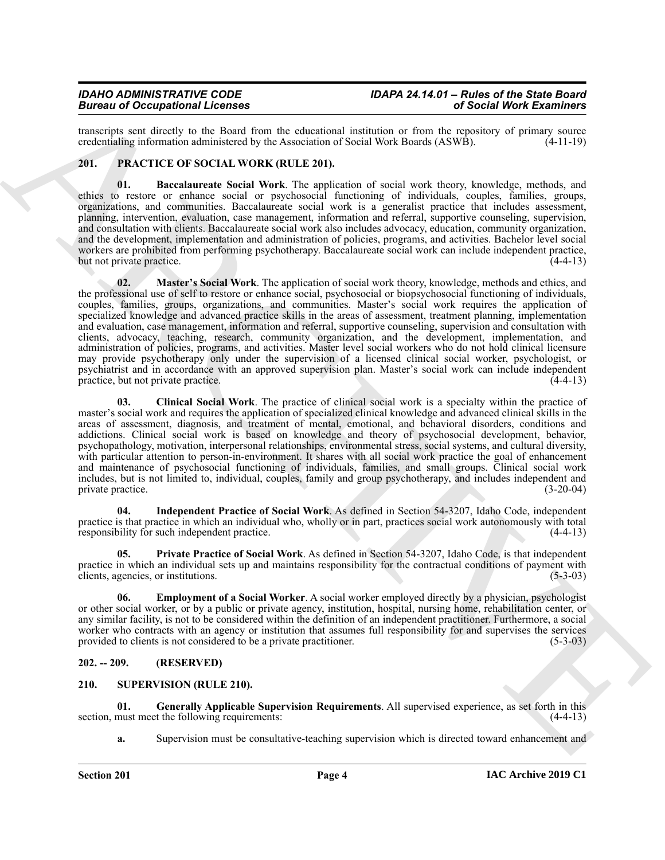transcripts sent directly to the Board from the educational institution or from the repository of primary source credentialing information administered by the Association of Social Work Boards (ASWB). (4-11-19) credentialing information administered by the Association of Social Work Boards (ASWB).

### <span id="page-3-3"></span><span id="page-3-0"></span>**201. PRACTICE OF SOCIAL WORK (RULE 201).**

<span id="page-3-8"></span><span id="page-3-4"></span>**01. Baccalaureate Social Work**. The application of social work theory, knowledge, methods, and ethics to restore or enhance social or psychosocial functioning of individuals, couples, families, groups, organizations, and communities. Baccalaureate social work is a generalist practice that includes assessment, planning, intervention, evaluation, case management, information and referral, supportive counseling, supervision, and consultation with clients. Baccalaureate social work also includes advocacy, education, community organization, and the development, implementation and administration of policies, programs, and activities. Bachelor level social workers are prohibited from performing psychotherapy. Baccalaureate social work can include independent practice,<br>but not private practice. (4-4-13) but not private practice.

Because of Coccapation and Because and West Associates and the specific state of Section West Exerprises contained and the specific state of the specific state of the specific state of the specific state of the specific s **02. Master's Social Work**. The application of social work theory, knowledge, methods and ethics, and the professional use of self to restore or enhance social, psychosocial or biopsychosocial functioning of individuals, couples, families, groups, organizations, and communities. Master's social work requires the application of specialized knowledge and advanced practice skills in the areas of assessment, treatment planning, implementation and evaluation, case management, information and referral, supportive counseling, supervision and consultation with clients, advocacy, teaching, research, community organization, and the development, implementation, and administration of policies, programs, and activities. Master level social workers who do not hold clinical licensure may provide psychotherapy only under the supervision of a licensed clinical social worker, psychologist, or psychiatrist and in accordance with an approved supervision plan. Master's social work can include independent practice, but not private practice. (4-4-13)

<span id="page-3-5"></span>**03. Clinical Social Work**. The practice of clinical social work is a specialty within the practice of master's social work and requires the application of specialized clinical knowledge and advanced clinical skills in the areas of assessment, diagnosis, and treatment of mental, emotional, and behavioral disorders, conditions and addictions. Clinical social work is based on knowledge and theory of psychosocial development, behavior, psychopathology, motivation, interpersonal relationships, environmental stress, social systems, and cultural diversity, with particular attention to person-in-environment. It shares with all social work practice the goal of enhancement and maintenance of psychosocial functioning of individuals, families, and small groups. Clinical social work includes, but is not limited to, individual, couples, family and group psychotherapy, and includes independent and private practice. (3-20-04)

<span id="page-3-7"></span>**04. Independent Practice of Social Work**. As defined in Section 54-3207, Idaho Code, independent practice is that practice in which an individual who, wholly or in part, practices social work autonomously with total responsibility for such independent practice. (4-4-13)

<span id="page-3-9"></span>**05. Private Practice of Social Work**. As defined in Section 54-3207, Idaho Code, is that independent practice in which an individual sets up and maintains responsibility for the contractual conditions of payment with clients, agencies, or institutions. (5-3-03)

<span id="page-3-6"></span>**06. Employment of a Social Worker**. A social worker employed directly by a physician, psychologist or other social worker, or by a public or private agency, institution, hospital, nursing home, rehabilitation center, or any similar facility, is not to be considered within the definition of an independent practitioner. Furthermore, a social worker who contracts with an agency or institution that assumes full responsibility for and supervises the services provided to clients is not considered to be a private practitioner. (5-3-03)

### <span id="page-3-1"></span>**202. -- 209. (RESERVED)**

### <span id="page-3-10"></span><span id="page-3-2"></span>**210. SUPERVISION (RULE 210).**

**01. Generally Applicable Supervision Requirements**. All supervised experience, as set forth in this section, must meet the following requirements:

<span id="page-3-11"></span>**a.** Supervision must be consultative-teaching supervision which is directed toward enhancement and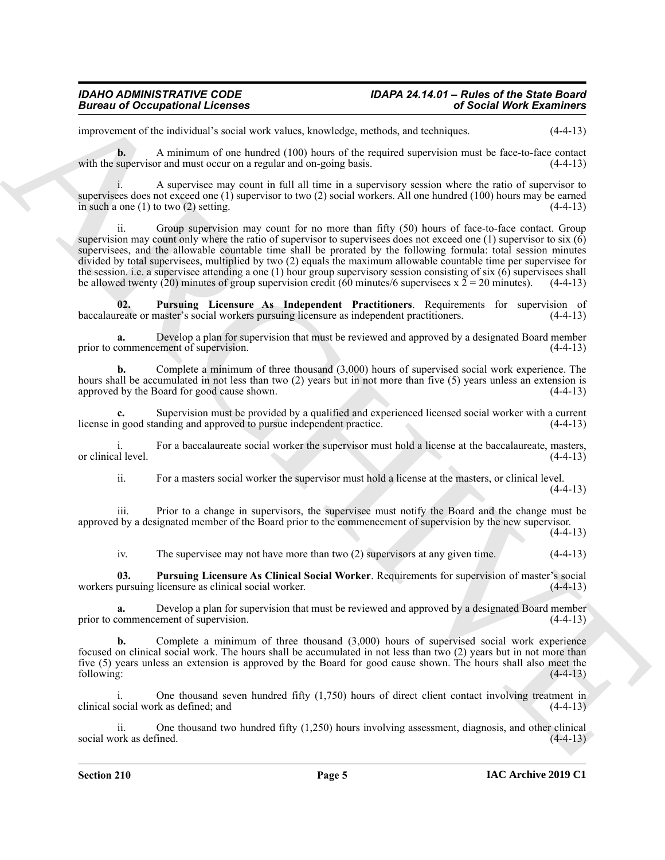improvement of the individual's social work values, knowledge, methods, and techniques. (4-4-13)

**b.** A minimum of one hundred (100) hours of the required supervision must be face-to-face contact with the supervisor and must occur on a regular and on-going basis. (4-4-13)

i. A supervisee may count in full all time in a supervisory session where the ratio of supervisor to supervisees does not exceed one (1) supervisor to two (2) social workers. All one hundred (100) hours may be earned in such a one (1) to two (2) setting.  $(4-4-13)$ 

Biomass of Occupations I Leonards<br>
European and vertex based with the state of the contribute control of the Boston China and the state of the the<br>
state in the state of the method in the state of the control of the state ii. Group supervision may count for no more than fifty (50) hours of face-to-face contact. Group supervision may count only where the ratio of supervisor to supervisees does not exceed one (1) supervisor to six (6) supervisees, and the allowable countable time shall be prorated by the following formula: total session minutes divided by total supervisees, multiplied by two (2) equals the maximum allowable countable time per supervisee for the session. i.e. a supervisee attending a one (1) hour group supervisory session consisting of six (6) supervisees shall be allowed twenty (20) minutes of group supervision credit (60 minutes/6 supervisees x  $2 = 20$  minutes). (4-4-13)

<span id="page-4-1"></span>**02. Pursuing Licensure As Independent Practitioners**. Requirements for supervision of baccalaureate or master's social workers pursuing licensure as independent practitioners. (4-4-13)

**a.** Develop a plan for supervision that must be reviewed and approved by a designated Board member prior to commencement of supervision. (4-4-13)

**b.** Complete a minimum of three thousand  $(3,000)$  hours of supervised social work experience. The hours shall be accumulated in not less than two (2) years but in not more than five (5) years unless an extension is approved by the Board for good cause shown. (4-4-13)

**c.** Supervision must be provided by a qualified and experienced licensed social worker with a current license in good standing and approved to pursue independent practice. (4-4-13)

i. For a baccalaureate social worker the supervisor must hold a license at the baccalaureate, masters, or clinical level.

ii. For a masters social worker the supervisor must hold a license at the masters, or clinical level.

 $(4-4-13)$ 

iii. Prior to a change in supervisors, the supervisee must notify the Board and the change must be approved by a designated member of the Board prior to the commencement of supervision by the new supervisor.  $(4-4-13)$ 

<span id="page-4-0"></span>iv. The supervisee may not have more than two (2) supervisors at any given time. (4-4-13)

**03. Pursuing Licensure As Clinical Social Worker**. Requirements for supervision of master's social workers pursuing licensure as clinical social worker. (4-4-13)

**a.** Develop a plan for supervision that must be reviewed and approved by a designated Board member commencement of supervision.  $(4-4-13)$ prior to commencement of supervision.

**b.** Complete a minimum of three thousand (3,000) hours of supervised social work experience focused on clinical social work. The hours shall be accumulated in not less than two (2) years but in not more than five (5) years unless an extension is approved by the Board for good cause shown. The hours shall also meet the following: (4-4-13)

i. One thousand seven hundred fifty (1,750) hours of direct client contact involving treatment in clinical social work as defined; and (4-4-13)

ii. One thousand two hundred fifty (1,250) hours involving assessment, diagnosis, and other clinical social work as defined. (4-4-13)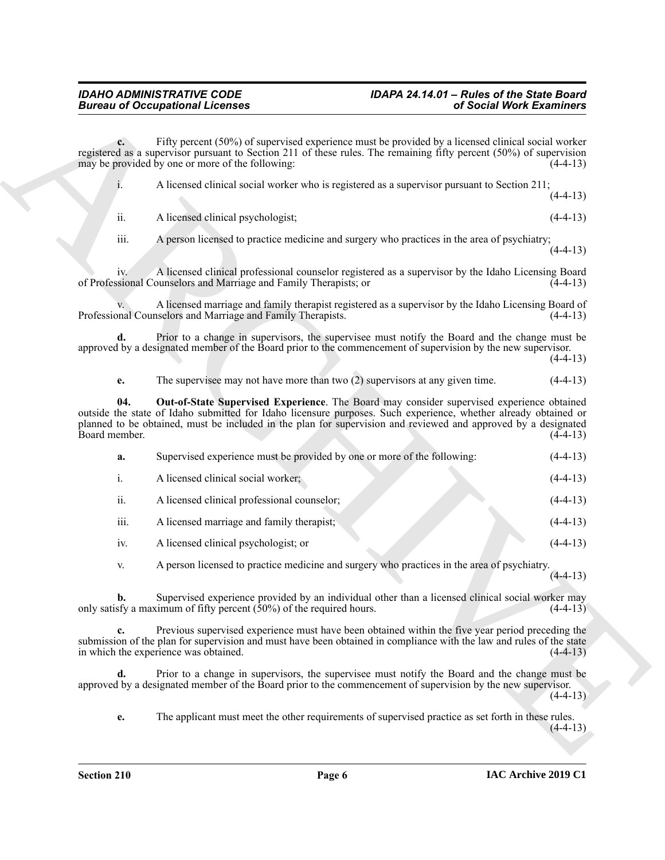<span id="page-5-0"></span>

|                  | A licensed clinical social worker who is registered as a supervisor pursuant to Section 211;       | $(4-4-13)$ |
|------------------|----------------------------------------------------------------------------------------------------|------------|
| ii.              | A licensed clinical psychologist;                                                                  | $(4-4-13)$ |
| $\cdots$<br>111. | A person licensed to practice medicine and surgery who practices in the area of psychiatry;        | $(4-4-13)$ |
|                  | A licensed clinical professional counselor registered as a supervisor by the Idaho Licensing Board |            |

|                      | <b>Bureau of Occupational Licenses</b>                                                                                                                                                                                                                                                                                         | of Social Work Examiners |
|----------------------|--------------------------------------------------------------------------------------------------------------------------------------------------------------------------------------------------------------------------------------------------------------------------------------------------------------------------------|--------------------------|
| $c_{\cdot}$          | Fifty percent (50%) of supervised experience must be provided by a licensed clinical social worker<br>registered as a supervisor pursuant to Section 211 of these rules. The remaining fifty percent (50%) of supervision<br>may be provided by one or more of the following:                                                  | $(4-4-13)$               |
| 1.                   | A licensed clinical social worker who is registered as a supervisor pursuant to Section 211;                                                                                                                                                                                                                                   | $(4-4-13)$               |
| ii.                  | A licensed clinical psychologist;                                                                                                                                                                                                                                                                                              | $(4-4-13)$               |
| iii.                 | A person licensed to practice medicine and surgery who practices in the area of psychiatry;                                                                                                                                                                                                                                    | $(4-4-13)$               |
| 1V.                  | A licensed clinical professional counselor registered as a supervisor by the Idaho Licensing Board<br>of Professional Counselors and Marriage and Family Therapists; or                                                                                                                                                        | $(4-4-13)$               |
|                      | A licensed marriage and family therapist registered as a supervisor by the Idaho Licensing Board of<br>Professional Counselors and Marriage and Family Therapists.                                                                                                                                                             | $(4-4-13)$               |
| d.                   | Prior to a change in supervisors, the supervisee must notify the Board and the change must be<br>approved by a designated member of the Board prior to the commencement of supervision by the new supervisor.                                                                                                                  | $(4-4-13)$               |
| e.                   | The supervisee may not have more than two $(2)$ supervisors at any given time.                                                                                                                                                                                                                                                 | $(4-4-13)$               |
| 04.<br>Board member. | Out-of-State Supervised Experience. The Board may consider supervised experience obtained<br>outside the state of Idaho submitted for Idaho licensure purposes. Such experience, whether already obtained or<br>planned to be obtained, must be included in the plan for supervision and reviewed and approved by a designated | $(4-4-13)$               |
| a.                   | Supervised experience must be provided by one or more of the following:                                                                                                                                                                                                                                                        | $(4-4-13)$               |
| i.                   | A licensed clinical social worker;                                                                                                                                                                                                                                                                                             | $(4-4-13)$               |
| ii.                  | A licensed clinical professional counselor;                                                                                                                                                                                                                                                                                    | $(4-4-13)$               |
| iii.                 | A licensed marriage and family therapist;                                                                                                                                                                                                                                                                                      | $(4-4-13)$               |
| iv.                  | A licensed clinical psychologist; or                                                                                                                                                                                                                                                                                           | $(4-4-13)$               |
| V.                   | A person licensed to practice medicine and surgery who practices in the area of psychiatry.                                                                                                                                                                                                                                    | $(4-4-13)$               |
| $\mathbf{b}$ .       | Supervised experience provided by an individual other than a licensed clinical social worker may<br>only satisfy a maximum of fifty percent $(50\%)$ of the required hours.                                                                                                                                                    | $(4-4-13)$               |
| c.                   | Previous supervised experience must have been obtained within the five year period preceding the<br>submission of the plan for supervision and must have been obtained in compliance with the law and rules of the state<br>in which the experience was obtained.                                                              | $(4-4-13)$               |
| d.                   | Prior to a change in supervisors, the supervisee must notify the Board and the change must be<br>approved by a designated member of the Board prior to the commencement of supervision by the new supervisor.                                                                                                                  | $(4-4-13)$               |
|                      |                                                                                                                                                                                                                                                                                                                                |                          |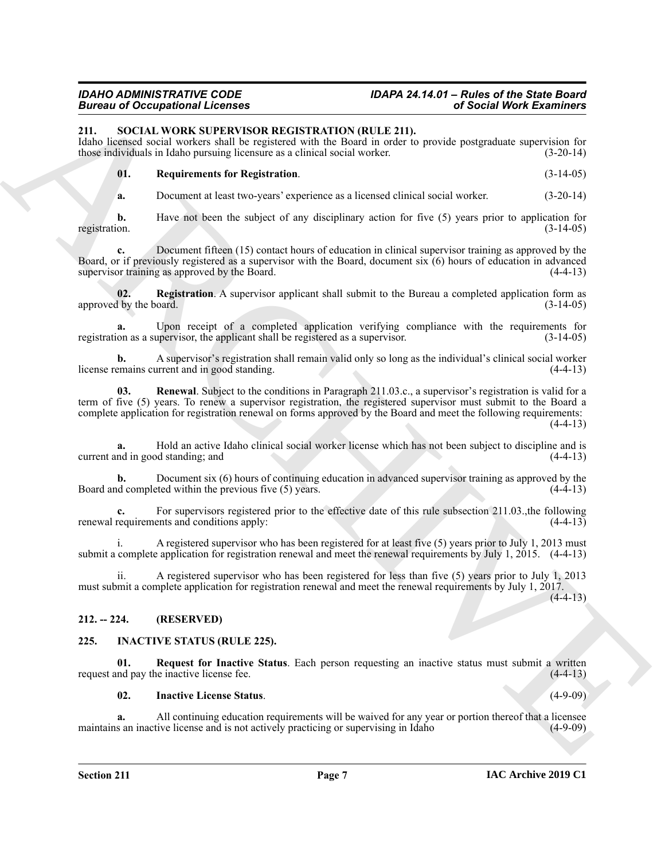# *IDAHO ADMINISTRATIVE CODE IDAPA 24.14.01 – Rules of the State Board*

### <span id="page-6-6"></span><span id="page-6-0"></span>**211. SOCIAL WORK SUPERVISOR REGISTRATION (RULE 211).**

Idaho licensed social workers shall be registered with the Board in order to provide postgraduate supervision for those individuals in Idaho pursuing licensure as a clinical social worker. (3-20-14)

### **01. Requirements for Registration**. (3-14-05)

<span id="page-6-9"></span>**a.** Document at least two-years' experience as a licensed clinical social worker. (3-20-14)

**b.** Have not been the subject of any disciplinary action for five (5) years prior to application for registration. (3-14-05)

**c.** Document fifteen (15) contact hours of education in clinical supervisor training as approved by the Board, or if previously registered as a supervisor with the Board, document six (6) hours of education in advanced supervisor training as approved by the Board. (4-4-13)

<span id="page-6-7"></span>**02.** Registration. A supervisor applicant shall submit to the Bureau a completed application form as the board. (3-14-05) approved by the board.

**a.** Upon receipt of a completed application verifying compliance with the requirements for on as a supervisor, the applicant shall be registered as a supervisor. registration as a supervisor, the applicant shall be registered as a supervisor.

<span id="page-6-8"></span>**b.** A supervisor's registration shall remain valid only so long as the individual's clinical social worker emains current and in good standing. license remains current and in good standing.

**EVALUATION CONSULTATION** (**EVALUATION** (**EVALUATION**) (**EVALUATION CONSULTATION CONSULTATION CONSULTATION CONSULTATION CONSULTATION CONSULTATION CONSULTATION CONSULTATION CONSULTATION CONSULTATION 03. Renewal**. Subject to the conditions in Paragraph 211.03.c., a supervisor's registration is valid for a term of five (5) years. To renew a supervisor registration, the registered supervisor must submit to the Board a complete application for registration renewal on forms approved by the Board and meet the following requirements:  $(4-4-13)$ 

**a.** Hold an active Idaho clinical social worker license which has not been subject to discipline and is nd in good standing; and (4-4-13) current and in good standing; and

**b.** Document six (6) hours of continuing education in advanced supervisor training as approved by the Board and completed within the previous five (5) years. (4-4-13)

**c.** For supervisors registered prior to the effective date of this rule subsection 211.03., the following requirements and conditions apply:  $(4-4-13)$ renewal requirements and conditions apply:

A registered supervisor who has been registered for at least five (5) years prior to July 1, 2013 must submit a complete application for registration renewal and meet the renewal requirements by July 1, 2015. (4-4-13)

ii. A registered supervisor who has been registered for less than five (5) years prior to July 1, 2013 must submit a complete application for registration renewal and meet the renewal requirements by July 1, 2017.

 $(4-4-13)$ 

### <span id="page-6-1"></span>**212. -- 224. (RESERVED)**

### <span id="page-6-3"></span><span id="page-6-2"></span>**225. INACTIVE STATUS (RULE 225).**

**01. Request for Inactive Status**. Each person requesting an inactive status must submit a written request and pay the inactive license fee. (4-4-13)

### <span id="page-6-5"></span><span id="page-6-4"></span>**02. Inactive License Status**. (4-9-09)

**a.** All continuing education requirements will be waived for any year or portion thereof that a licensee maintains an inactive license and is not actively practicing or supervising in Idaho (4-9-09)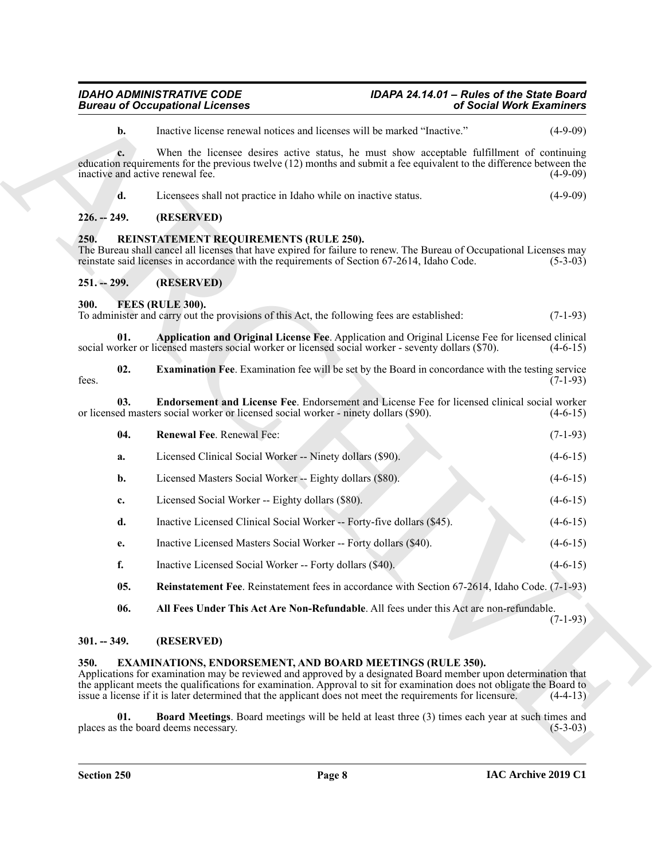<span id="page-7-15"></span><span id="page-7-10"></span><span id="page-7-8"></span><span id="page-7-3"></span><span id="page-7-2"></span><span id="page-7-1"></span><span id="page-7-0"></span>

|               | <b>Bureau of Occupational Licenses</b>                                                                                                                                                                                                                                                                                                                                                                                     | of Social Work Examiners |  |
|---------------|----------------------------------------------------------------------------------------------------------------------------------------------------------------------------------------------------------------------------------------------------------------------------------------------------------------------------------------------------------------------------------------------------------------------------|--------------------------|--|
| b.            | Inactive license renewal notices and licenses will be marked "Inactive."                                                                                                                                                                                                                                                                                                                                                   | $(4-9-09)$               |  |
| c.            | When the licensee desires active status, he must show acceptable fulfillment of continuing<br>education requirements for the previous twelve (12) months and submit a fee equivalent to the difference between the<br>inactive and active renewal fee.                                                                                                                                                                     | $(4-9-09)$               |  |
| d.            | Licensees shall not practice in Idaho while on inactive status.                                                                                                                                                                                                                                                                                                                                                            | $(4-9-09)$               |  |
| $226. - 249.$ | (RESERVED)                                                                                                                                                                                                                                                                                                                                                                                                                 |                          |  |
| 250.          | REINSTATEMENT REQUIREMENTS (RULE 250).<br>The Bureau shall cancel all licenses that have expired for failure to renew. The Bureau of Occupational Licenses may<br>reinstate said licenses in accordance with the requirements of Section 67-2614, Idaho Code.                                                                                                                                                              | $(5-3-03)$               |  |
| $251. - 299.$ | (RESERVED)                                                                                                                                                                                                                                                                                                                                                                                                                 |                          |  |
| 300.          | FEES (RULE 300).<br>To administer and carry out the provisions of this Act, the following fees are established:                                                                                                                                                                                                                                                                                                            | $(7-1-93)$               |  |
| 01.           | Application and Original License Fee. Application and Original License Fee for licensed clinical<br>social worker or licensed masters social worker or licensed social worker - seventy dollars (\$70).                                                                                                                                                                                                                    | $(4-6-15)$               |  |
| 02.<br>fees.  | <b>Examination Fee.</b> Examination fee will be set by the Board in concordance with the testing service                                                                                                                                                                                                                                                                                                                   | $(7-1-93)$               |  |
| 03.           | Endorsement and License Fee. Endorsement and License Fee for licensed clinical social worker<br>or licensed masters social worker or licensed social worker - ninety dollars (\$90).                                                                                                                                                                                                                                       | $(4-6-15)$               |  |
| 04.           | Renewal Fee. Renewal Fee:                                                                                                                                                                                                                                                                                                                                                                                                  | $(7-1-93)$               |  |
| a.            | Licensed Clinical Social Worker -- Ninety dollars (\$90).                                                                                                                                                                                                                                                                                                                                                                  | $(4-6-15)$               |  |
| b.            | Licensed Masters Social Worker -- Eighty dollars (\$80).                                                                                                                                                                                                                                                                                                                                                                   | $(4-6-15)$               |  |
| c.            | Licensed Social Worker -- Eighty dollars (\$80).                                                                                                                                                                                                                                                                                                                                                                           | $(4-6-15)$               |  |
| d.            | Inactive Licensed Clinical Social Worker -- Forty-five dollars (\$45).                                                                                                                                                                                                                                                                                                                                                     | $(4-6-15)$               |  |
| e.            | Inactive Licensed Masters Social Worker -- Forty dollars (\$40).                                                                                                                                                                                                                                                                                                                                                           | $(4-6-15)$               |  |
| f.            | Inactive Licensed Social Worker -- Forty dollars (\$40).                                                                                                                                                                                                                                                                                                                                                                   | $(4-6-15)$               |  |
| 05.           | Reinstatement Fee. Reinstatement fees in accordance with Section 67-2614, Idaho Code. (7-1-93)                                                                                                                                                                                                                                                                                                                             |                          |  |
| 06.           | All Fees Under This Act Are Non-Refundable. All fees under this Act are non-refundable.                                                                                                                                                                                                                                                                                                                                    | $(7-1-93)$               |  |
| $301. - 349.$ | (RESERVED)                                                                                                                                                                                                                                                                                                                                                                                                                 |                          |  |
| 350.          | <b>EXAMINATIONS, ENDORSEMENT, AND BOARD MEETINGS (RULE 350).</b><br>Applications for examination may be reviewed and approved by a designated Board member upon determination that<br>the applicant meets the qualifications for examination. Approval to sit for examination does not obligate the Board to<br>issue a license if it is later determined that the applicant does not meet the requirements for licensure. | $(4-4-13)$               |  |
| 01.           | Board Meetings. Board meetings will be held at least three (3) times each year at such times and<br>places as the board deems necessary.                                                                                                                                                                                                                                                                                   | $(5-3-03)$               |  |
|               |                                                                                                                                                                                                                                                                                                                                                                                                                            |                          |  |

### $(7-1-93)$

### <span id="page-7-14"></span><span id="page-7-13"></span><span id="page-7-12"></span><span id="page-7-11"></span><span id="page-7-9"></span><span id="page-7-4"></span>**301. -- 349. (RESERVED)**

### <span id="page-7-7"></span><span id="page-7-6"></span><span id="page-7-5"></span>**350. EXAMINATIONS, ENDORSEMENT, AND BOARD MEETINGS (RULE 350).**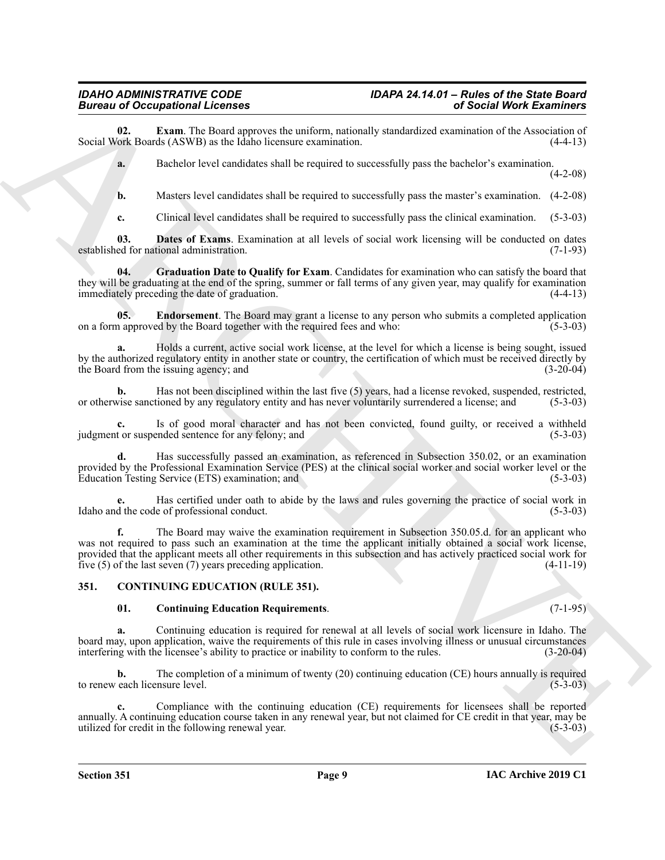**02. Exam**. The Board approves the uniform, nationally standardized examination of the Association of ork Boards (ASWB) as the Idaho licensure examination. (4-4-13) Social Work Boards (ASWB) as the Idaho licensure examination.

<span id="page-8-5"></span>**a.** Bachelor level candidates shall be required to successfully pass the bachelor's examination.

 $(4-2-08)$ 

**b.** Masters level candidates shall be required to successfully pass the master's examination.  $(4-2-08)$ 

<span id="page-8-6"></span><span id="page-8-3"></span>**c.** Clinical level candidates shall be required to successfully pass the clinical examination. (5-3-03)

**03. Dates of Exams**. Examination at all levels of social work licensing will be conducted on dates established for national administration. (7-1-93)

**04. Graduation Date to Qualify for Exam**. Candidates for examination who can satisfy the board that they will be graduating at the end of the spring, summer or fall terms of any given year, may qualify for examination immediately preceding the date of graduation. (4-4-13)

<span id="page-8-4"></span>**05. Endorsement**. The Board may grant a license to any person who submits a completed application on a form approved by the Board together with the required fees and who: (5-3-03)

**a.** Holds a current, active social work license, at the level for which a license is being sought, issued by the authorized regulatory entity in another state or country, the certification of which must be received directly by the Board from the issuing agency; and

**b.** Has not been disciplined within the last five (5) years, had a license revoked, suspended, restricted, vise sanctioned by any regulatory entity and has never voluntarily surrendered a license; and (5-3-03) or otherwise sanctioned by any regulatory entity and has never voluntarily surrendered a license; and

**c.** Is of good moral character and has not been convicted, found guilty, or received a withheld judgment or suspended sentence for any felony; and (5-3-03)

**d.** Has successfully passed an examination, as referenced in Subsection 350.02, or an examination provided by the Professional Examination Service (PES) at the clinical social worker and social worker level or the Education Testing Service (ETS) examination; and (5-3-03)

**e.** Has certified under oath to abide by the laws and rules governing the practice of social work in Idaho and the code of professional conduct. (5-3-03)

Branch of Concession and Levendre and the stationary contained the stationary of Secien West Extension and the stationary and the stationary of Secien West Extension and the stationary of the stationary of the stationary **f.** The Board may waive the examination requirement in Subsection 350.05.d. for an applicant who was not required to pass such an examination at the time the applicant initially obtained a social work license, provided that the applicant meets all other requirements in this subsection and has actively practiced social work for five (5) of the last seven (7) years preceding application. (4-11-19)

### <span id="page-8-0"></span>**351. CONTINUING EDUCATION (RULE 351).**

### <span id="page-8-2"></span><span id="page-8-1"></span>**01. Continuing Education Requirements**. (7-1-95)

**a.** Continuing education is required for renewal at all levels of social work licensure in Idaho. The board may, upon application, waive the requirements of this rule in cases involving illness or unusual circumstances interfering with the licensee's ability to practice or inability to conform to the rules. (3-20-04)

**b.** The completion of a minimum of twenty (20) continuing education (CE) hours annually is required to renew each licensure level. (5-3-03)

**c.** Compliance with the continuing education (CE) requirements for licensees shall be reported annually. A continuing education course taken in any renewal year, but not claimed for CE credit in that year, may be utilized for credit in the following renewal year. (5-3-03)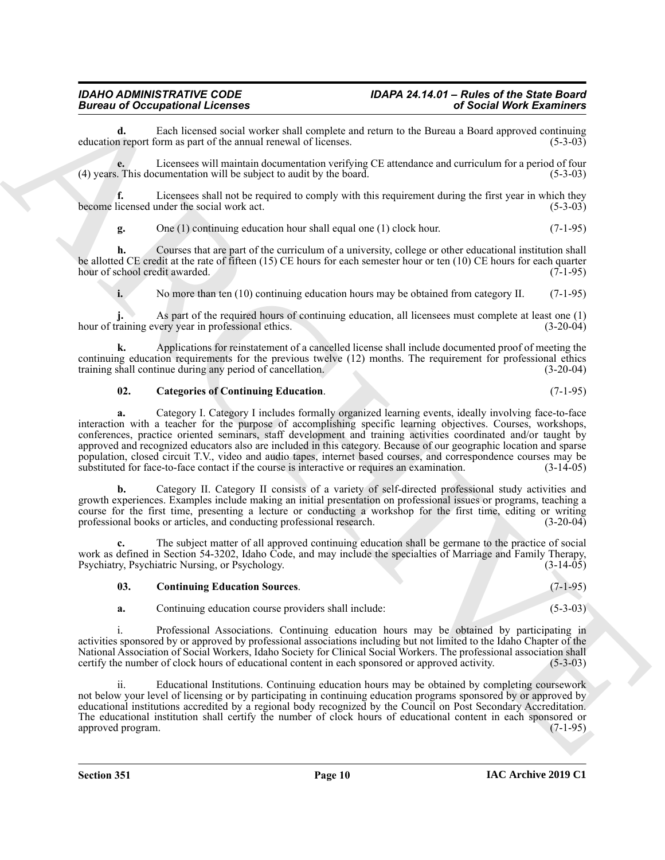**d.** Each licensed social worker shall complete and return to the Bureau a Board approved continuing n report form as part of the annual renewal of licenses. (5-3-03) education report form as part of the annual renewal of licenses.

**e.** Licensees will maintain documentation verifying CE attendance and curriculum for a period of four (4) years. This documentation will be subject to audit by the board. (5-3-03)

**f.** Licensees shall not be required to comply with this requirement during the first year in which they licensed under the social work act. (5-3-03) become licensed under the social work act.

**g.** One (1) continuing education hour shall equal one (1) clock hour. (7-1-95)

**h.** Courses that are part of the curriculum of a university, college or other educational institution shall be allotted CE credit at the rate of fifteen (15) CE hours for each semester hour or ten (10) CE hours for each quarter hour of school credit awarded. (7-1-95)

**i.** No more than ten (10) continuing education hours may be obtained from category II. (7-1-95)

**j.** As part of the required hours of continuing education, all licensees must complete at least one (1) hour of training every year in professional ethics. (3-20-04)

**k.** Applications for reinstatement of a cancelled license shall include documented proof of meeting the continuing education requirements for the previous twelve (12) months. The requirement for professional ethics training shall continue during any period of cancellation. (3-20-04) training shall continue during any period of cancellation.

### <span id="page-9-0"></span>**02. Categories of Continuing Education**. (7-1-95)

Bureau of Conception and the material state control is a state bureau of the state of the state of the state of the state of the state of the state of the state of the state of the state of the state of the state of the s **a.** Category I. Category I includes formally organized learning events, ideally involving face-to-face interaction with a teacher for the purpose of accomplishing specific learning objectives. Courses, workshops, conferences, practice oriented seminars, staff development and training activities coordinated and/or taught by approved and recognized educators also are included in this category. Because of our geographic location and sparse population, closed circuit T.V., video and audio tapes, internet based courses, and correspondence courses may be substituted for face-to-face contact if the course is interactive or requires an examination. (3-14-05)

**b.** Category II. Category II consists of a variety of self-directed professional study activities and growth experiences. Examples include making an initial presentation on professional issues or programs, teaching a course for the first time, presenting a lecture or conducting a workshop for the first time, editing or writing professional books or articles, and conducting professional research. (3-20-04)

**c.** The subject matter of all approved continuing education shall be germane to the practice of social work as defined in Section 54-3202, Idaho Code, and may include the specialties of Marriage and Family Therapy, Psychiatry, Psychiatric Nursing, or Psychology. (3-14-05)

### <span id="page-9-1"></span>**03. Continuing Education Sources**. (7-1-95)

**a.** Continuing education course providers shall include: (5-3-03)

i. Professional Associations. Continuing education hours may be obtained by participating in activities sponsored by or approved by professional associations including but not limited to the Idaho Chapter of the National Association of Social Workers, Idaho Society for Clinical Social Workers. The professional association shall certify the number of clock hours of educational content in each sponsored or approved activity. (5-3-03 certify the number of clock hours of educational content in each sponsored or approved activity.

Educational Institutions. Continuing education hours may be obtained by completing coursework not below your level of licensing or by participating in continuing education programs sponsored by or approved by educational institutions accredited by a regional body recognized by the Council on Post Secondary Accreditation. The educational institution shall certify the number of clock hours of educational content in each sponsored or approved program. (7-1-95)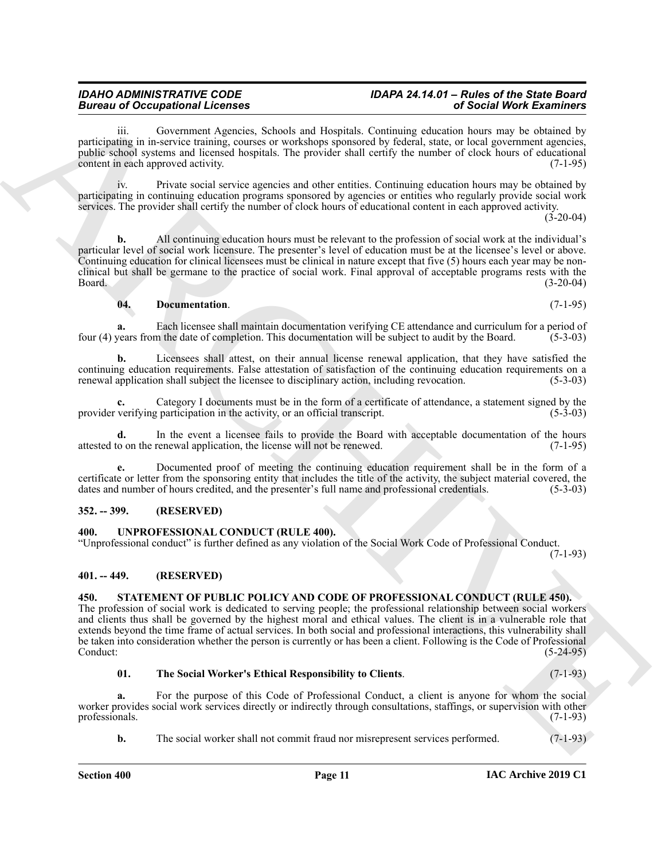Government Agencies, Schools and Hospitals. Continuing education hours may be obtained by participating in in-service training, courses or workshops sponsored by federal, state, or local government agencies, public school systems and licensed hospitals. The provider shall certify the number of clock hours of educational content in each approved activity. (7-1-95)

iv. Private social service agencies and other entities. Continuing education hours may be obtained by participating in continuing education programs sponsored by agencies or entities who regularly provide social work services. The provider shall certify the number of clock hours of educational content in each approved activity.

(3-20-04)

**b.** All continuing education hours must be relevant to the profession of social work at the individual's particular level of social work licensure. The presenter's level of education must be at the licensee's level or above. Continuing education for clinical licensees must be clinical in nature except that five (5) hours each year may be nonclinical but shall be germane to the practice of social work. Final approval of acceptable programs rests with the Board. (3-20-04)

### <span id="page-10-4"></span>**04. Documentation**. (7-1-95)

**a.** Each licensee shall maintain documentation verifying CE attendance and curriculum for a period of vears from the date of completion. This documentation will be subject to audit by the Board. (5-3-03) four (4) years from the date of completion. This documentation will be subject to audit by the Board.

**b.** Licensees shall attest, on their annual license renewal application, that they have satisfied the continuing education requirements. False attestation of satisfaction of the continuing education requirements on a renewal application shall subject the licensee to disciplinary action, including revocation. (5-3-03)

**c.** Category I documents must be in the form of a certificate of attendance, a statement signed by the provider verifying participation in the activity, or an official transcript. (5-3-03)

**d.** In the event a licensee fails to provide the Board with acceptable documentation of the hours attested to on the renewal application, the license will not be renewed. (7-1-95)

**e.** Documented proof of meeting the continuing education requirement shall be in the form of a certificate or letter from the sponsoring entity that includes the title of the activity, the subject material covered, the dates and number of hours credited, and the presenter's full name and professional credentials. (5-3-03)

### <span id="page-10-0"></span>**352. -- 399. (RESERVED)**

### <span id="page-10-7"></span><span id="page-10-1"></span>**400. UNPROFESSIONAL CONDUCT (RULE 400).**

"Unprofessional conduct" is further defined as any violation of the Social Work Code of Professional Conduct. (7-1-93)

<span id="page-10-2"></span>**401. -- 449. (RESERVED)**

## <span id="page-10-5"></span><span id="page-10-3"></span>**450. STATEMENT OF PUBLIC POLICY AND CODE OF PROFESSIONAL CONDUCT (RULE 450).**

Bureau of Companion Actions 1.<br>
The main and America Chinese Construction Companion Companion (Section Companion Schedule Chinacter)<br>
And the main and the main and the main and the main and the main and the main and the m The profession of social work is dedicated to serving people; the professional relationship between social workers and clients thus shall be governed by the highest moral and ethical values. The client is in a vulnerable role that extends beyond the time frame of actual services. In both social and professional interactions, this vulnerability shall be taken into consideration whether the person is currently or has been a client. Following is the Code of Professional Conduct:<br>(5-24-95) Conduct: (5-24-95)

### <span id="page-10-6"></span>**01. The Social Worker's Ethical Responsibility to Clients**. (7-1-93)

**a.** For the purpose of this Code of Professional Conduct, a client is anyone for whom the social worker provides social work services directly or indirectly through consultations, staffings, or supervision with other professionals. (7-1-93) professionals.

**b.** The social worker shall not commit fraud nor misrepresent services performed.  $(7-1-93)$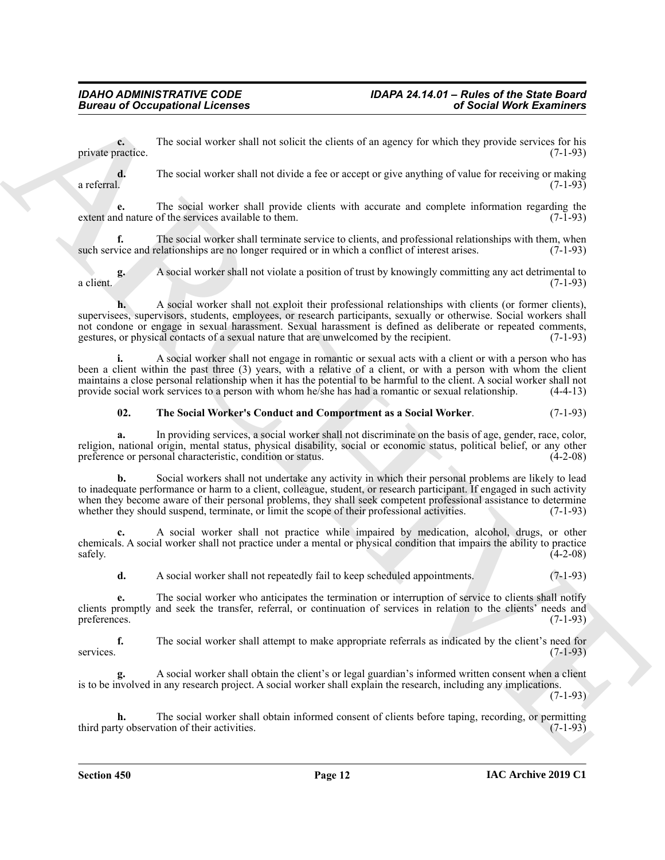**c.** The social worker shall not solicit the clients of an agency for which they provide services for his private practice. (7-1-93)

**d.** The social worker shall not divide a fee or accept or give anything of value for receiving or making a referral.  $(7-1-93)$ 

**e.** The social worker shall provide clients with accurate and complete information regarding the extent and nature of the services available to them. (7-1-93)

**f.** The social worker shall terminate service to clients, and professional relationships with them, when such service and relationships are no longer required or in which a conflict of interest arises. (7-1-93)

**g.** A social worker shall not violate a position of trust by knowingly committing any act detrimental to a client. (7-1-93)

**h.** A social worker shall not exploit their professional relationships with clients (or former clients), supervisees, supervisors, students, employees, or research participants, sexually or otherwise. Social workers shall not condone or engage in sexual harassment. Sexual harassment is defined as deliberate or repeated comments, gestures, or physical contacts of a sexual nature that are unwelcomed by the recipient. (7-1-93)

**i.** A social worker shall not engage in romantic or sexual acts with a client or with a person who has been a client within the past three (3) years, with a relative of a client, or with a person with whom the client maintains a close personal relationship when it has the potential to be harmful to the client. A social worker shall not provide social work services to a person with whom he/she has had a romantic or sexual relationship. (4-4-13)

### <span id="page-11-0"></span>**02. The Social Worker's Conduct and Comportment as a Social Worker**. (7-1-93)

**a.** In providing services, a social worker shall not discriminate on the basis of age, gender, race, color, religion, national origin, mental status, physical disability, social or economic status, political belief, or any other preference or personal characteristic, condition or status. preference or personal characteristic, condition or status.

Bureau of Occupational Licenses<br>
priorite Contrast The Vacanisation of the Contrast Theoretical Action of the Contrast Theoretical Action Contrast The Vacanisation of the Contrast Theoretical Action of the Contrast Theore **b.** Social workers shall not undertake any activity in which their personal problems are likely to lead to inadequate performance or harm to a client, colleague, student, or research participant. If engaged in such activity when they become aware of their personal problems, they shall seek competent professional assistance to determine whether they should suspend, terminate, or limit the scope of their professional activities. (7-1-93)

**c.** A social worker shall not practice while impaired by medication, alcohol, drugs, or other chemicals. A social worker shall not practice under a mental or physical condition that impairs the ability to practice  $\frac{4-2-08}{2}$ 

**d.** A social worker shall not repeatedly fail to keep scheduled appointments. (7-1-93)

**e.** The social worker who anticipates the termination or interruption of service to clients shall notify clients promptly and seek the transfer, referral, or continuation of services in relation to the clients' needs and preferences.

**f.** The social worker shall attempt to make appropriate referrals as indicated by the client's need for (7-1-93) services. (7-1-93)

**g.** A social worker shall obtain the client's or legal guardian's informed written consent when a client is to be involved in any research project. A social worker shall explain the research, including any implications.

(7-1-93)

**h.** The social worker shall obtain informed consent of clients before taping, recording, or permitting third party observation of their activities. (7-1-93)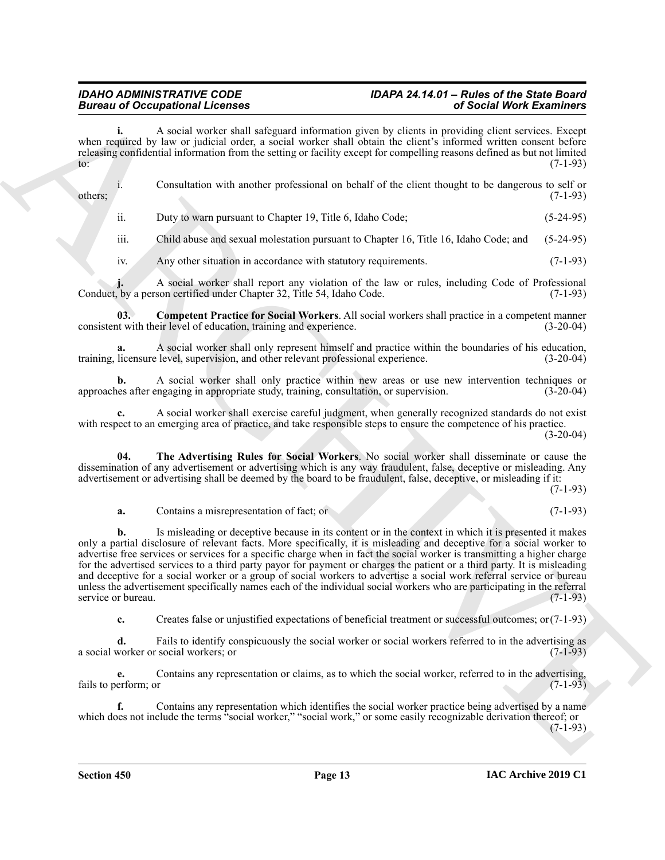# *IDAHO ADMINISTRATIVE CODE IDAPA 24.14.01 – Rules of the State Board*

**i.** A social worker shall safeguard information given by clients in providing client services. Except when required by law or judicial order, a social worker shall obtain the client's informed written consent before releasing confidential information from the setting or facility except for compelling reasons defined as but not limited  $\frac{1}{2}$  (7-1-93)

i. Consultation with another professional on behalf of the client thought to be dangerous to self or others; (7-1-93)

ii. Duty to warn pursuant to Chapter 19, Title 6, Idaho Code; (5-24-95)

iii. Child abuse and sexual molestation pursuant to Chapter 16, Title 16, Idaho Code; and (5-24-95)

<span id="page-12-0"></span>iv. Any other situation in accordance with statutory requirements. (7-1-93)

A social worker shall report any violation of the law or rules, including Code of Professional son certified under Chapter 32, Title 54, Idaho Code. (7-1-93) Conduct, by a person certified under Chapter 32, Title 54, Idaho Code.

**03. Competent Practice for Social Workers**. All social workers shall practice in a competent manner consistent with their level of education, training and experience. (3-20-04)

**a.** A social worker shall only represent himself and practice within the boundaries of his education, training, licensure level, supervision, and other relevant professional experience.

**b.** A social worker shall only practice within new areas or use new intervention techniques or use after engaging in appropriate study, training, consultation, or supervision. (3-20-04) approaches after engaging in appropriate study, training, consultation, or supervision.

**c.** A social worker shall exercise careful judgment, when generally recognized standards do not exist with respect to an emerging area of practice, and take responsible steps to ensure the competence of his practice.

 $(3-20-04)$ 

**04. The Advertising Rules for Social Workers**. No social worker shall disseminate or cause the dissemination of any advertisement or advertising which is any way fraudulent, false, deceptive or misleading. Any advertisement or advertising shall be deemed by the board to be fraudulent, false, deceptive, or misleading if it:

(7-1-93)

<span id="page-12-1"></span>**a.** Contains a misrepresentation of fact; or (7-1-93)

Bureau of Occupation Relevant 1. Consider a state of the state of the state of the European Construction Construction Construction Construction Construction Construction Construction Construction Construction Construction **b.** Is misleading or deceptive because in its content or in the context in which it is presented it makes only a partial disclosure of relevant facts. More specifically, it is misleading and deceptive for a social worker to advertise free services or services for a specific charge when in fact the social worker is transmitting a higher charge for the advertised services to a third party payor for payment or charges the patient or a third party. It is misleading and deceptive for a social worker or a group of social workers to advertise a social work referral service or bureau unless the advertisement specifically names each of the individual social workers who are participating in the referral service or bureau. (7-1-93) service or bureau.

**c.** Creates false or unjustified expectations of beneficial treatment or successful outcomes; or(7-1-93)

**d.** Fails to identify conspicuously the social worker or social workers referred to in the advertising as a social worker or social workers; or (7-1-93)

**e.** Contains any representation or claims, as to which the social worker, referred to in the advertising, fails to perform; or (7-1-93)

**f.** Contains any representation which identifies the social worker practice being advertised by a name which does not include the terms "social worker," "social work," or some easily recognizable derivation thereof; or  $(7-1-93)$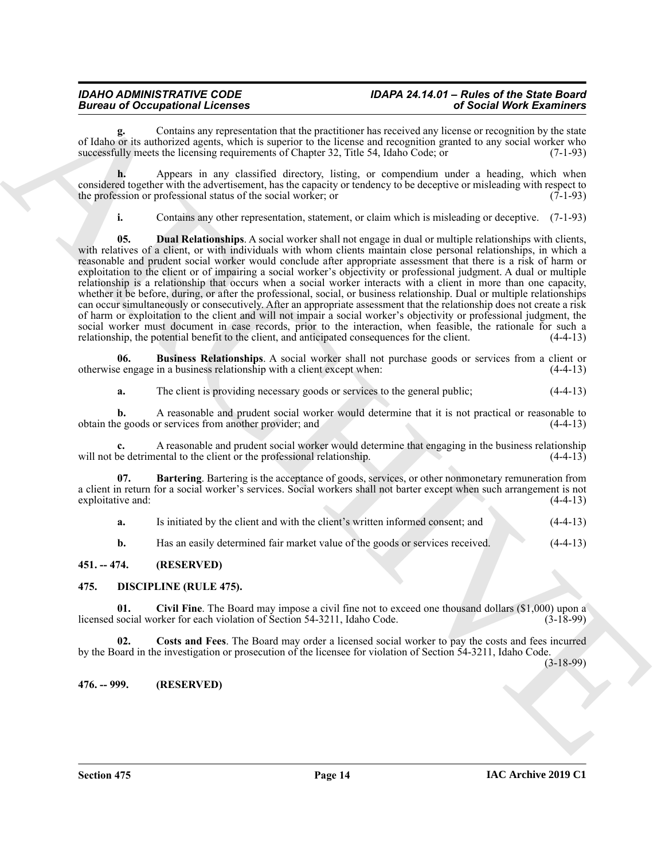**g.** Contains any representation that the practitioner has received any license or recognition by the state of Idaho or its authorized agents, which is superior to the license and recognition granted to any social worker who successfully meets the licensing requirements of Chapter 32, Title 54, Idaho Code; or (7-1-93)

**h.** Appears in any classified directory, listing, or compendium under a heading, which when considered together with the advertisement, has the capacity or tendency to be deceptive or misleading with respect to the profession or professional status of the social worker; or (7-1-93) the profession or professional status of the social worker; or

<span id="page-13-8"></span>**i.** Contains any other representation, statement, or claim which is misleading or deceptive. (7-1-93)

Because of Conception and Conception and the provision and the second with the second with the second with the second with the second with the second with the second with the second with the second with the second with th **05. Dual Relationships**. A social worker shall not engage in dual or multiple relationships with clients, with relatives of a client, or with individuals with whom clients maintain close personal relationships, in which a reasonable and prudent social worker would conclude after appropriate assessment that there is a risk of harm or exploitation to the client or of impairing a social worker's objectivity or professional judgment. A dual or multiple relationship is a relationship that occurs when a social worker interacts with a client in more than one capacity, whether it be before, during, or after the professional, social, or business relationship. Dual or multiple relationships can occur simultaneously or consecutively. After an appropriate assessment that the relationship does not create a risk of harm or exploitation to the client and will not impair a social worker's objectivity or professional judgment, the social worker must document in case records, prior to the interaction, when feasible, the rationale for such a relationship, the potential benefit to the client, and anticipated consequences for the client. (4-4-13) relationship, the potential benefit to the client, and anticipated consequences for the client.

**06.** Business Relationships. A social worker shall not purchase goods or services from a client or e engage in a business relationship with a client except when: (4-4-13) otherwise engage in a business relationship with a client except when: (4-4-13)

<span id="page-13-7"></span>**a.** The client is providing necessary goods or services to the general public;  $(4-4-13)$ 

**b.** A reasonable and prudent social worker would determine that it is not practical or reasonable to e goods or services from another provider; and (4-4-13) obtain the goods or services from another provider; and

**c.** A reasonable and prudent social worker would determine that engaging in the business relationship will not be detrimental to the client or the professional relationship.

**Bartering**. Bartering is the acceptance of goods, services, or other nonmonetary remuneration from a client in return for a social worker's services. Social workers shall not barter except when such arrangement is not exploitative and:

<span id="page-13-6"></span>**a.** Is initiated by the client and with the client's written informed consent; and  $(4-4-13)$ 

<span id="page-13-4"></span><span id="page-13-3"></span>**b.** Has an easily determined fair market value of the goods or services received. (4-4-13)

### <span id="page-13-0"></span>**451. -- 474. (RESERVED)**

### <span id="page-13-1"></span>**475. DISCIPLINE (RULE 475).**

**01. Civil Fine**. The Board may impose a civil fine not to exceed one thousand dollars (\$1,000) upon a licensed social worker for each violation of Section 54-3211, Idaho Code.

<span id="page-13-5"></span>**02. Costs and Fees**. The Board may order a licensed social worker to pay the costs and fees incurred by the Board in the investigation or prosecution of the licensee for violation of Section 54-3211, Idaho Code.

(3-18-99)

<span id="page-13-2"></span>**476. -- 999. (RESERVED)**